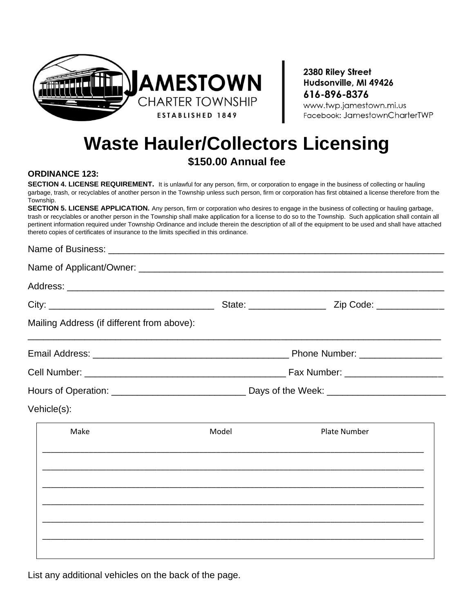

2380 Riley Street Hudsonville, MI 49426 616-896-8376

www.twp.jamestown.mi.us Facebook: JamestownCharterTWP

# **Waste Hauler/Collectors Licensing**

## **\$150.00 Annual fee**

#### **ORDINANCE 123:**

**SECTION 4. LICENSE REQUIREMENT.** It is unlawful for any person, firm, or corporation to engage in the business of collecting or hauling garbage, trash, or recyclables of another person in the Township unless such person, firm or corporation has first obtained a license therefore from the Township.

**SECTION 5. LICENSE APPLICATION.** Any person, firm or corporation who desires to engage in the business of collecting or hauling garbage, trash or recyclables or another person in the Township shall make application for a license to do so to the Township. Such application shall contain all pertinent information required under Township Ordinance and include therein the description of all of the equipment to be used and shall have attached thereto copies of certificates of insurance to the limits specified in this ordinance.

#### Name of Business: \_

| Mailing Address (if different from above): |       |                                                                                                                     |  |
|--------------------------------------------|-------|---------------------------------------------------------------------------------------------------------------------|--|
|                                            |       |                                                                                                                     |  |
|                                            |       |                                                                                                                     |  |
|                                            |       |                                                                                                                     |  |
| Vehicle(s):                                |       |                                                                                                                     |  |
| Make                                       | Model | <b>Plate Number</b>                                                                                                 |  |
|                                            |       |                                                                                                                     |  |
|                                            |       |                                                                                                                     |  |
|                                            |       | <u> 1989 - John Harry Harry Harry Harry Harry Harry Harry Harry Harry Harry Harry Harry Harry Harry Harry Harry</u> |  |
|                                            |       |                                                                                                                     |  |
|                                            |       |                                                                                                                     |  |
|                                            |       |                                                                                                                     |  |

List any additional vehicles on the back of the page.